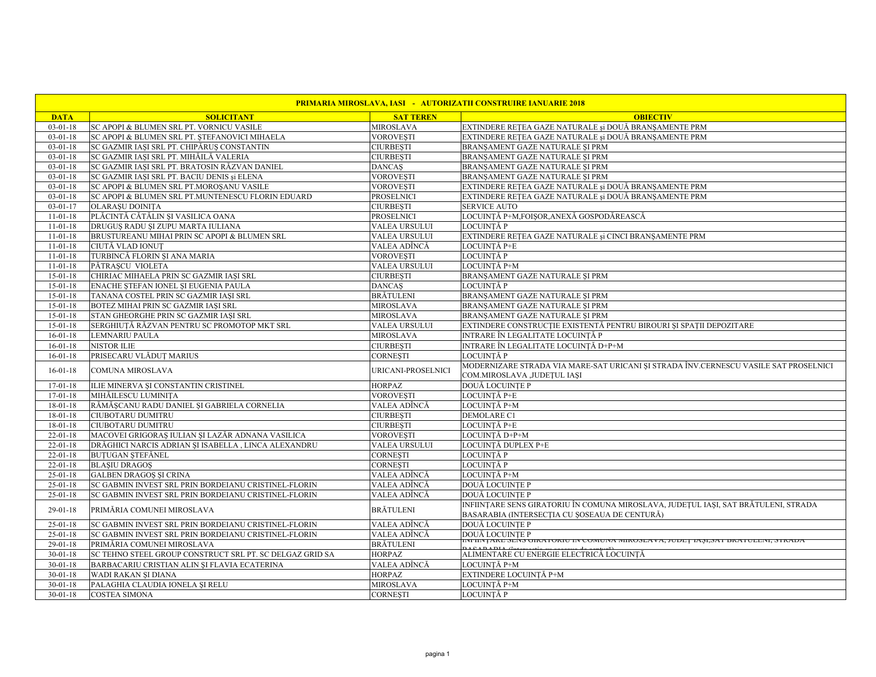| <b>PRIMARIA MIROSLAVA, IASI - AUTORIZATII CONSTRUIRE IANUARIE 2018</b> |                                                          |                      |                                                                                                                                     |  |  |
|------------------------------------------------------------------------|----------------------------------------------------------|----------------------|-------------------------------------------------------------------------------------------------------------------------------------|--|--|
| <b>DATA</b>                                                            | <b>SOLICITANT</b>                                        | <b>SAT TEREN</b>     | <b>OBIECTIV</b>                                                                                                                     |  |  |
| $03 - 01 - 18$                                                         | SC APOPI & BLUMEN SRL PT. VORNICU VASILE                 | MIROSLAVA            | EXTINDERE REȚEA GAZE NATURALE și DOUĂ BRANȘAMENTE PRM                                                                               |  |  |
| $03 - 01 - 18$                                                         | SC APOPI & BLUMEN SRL PT. STEFANOVICI MIHAELA            | VOROVESTI            | EXTINDERE RETEA GAZE NATURALE și DOUĂ BRANSAMENTE PRM                                                                               |  |  |
| $03 - 01 - 18$                                                         | SC GAZMIR IAȘI SRL PT. CHIPĂRUȘ CONSTANTIN               | <b>CIURBESTI</b>     | BRANSAMENT GAZE NATURALE ȘI PRM                                                                                                     |  |  |
| $03 - 01 - 18$                                                         | SC GAZMIR IAȘI SRL PT. MIHĂILĂ VALERIA                   | CIURBESTI            | BRANȘAMENT GAZE NATURALE ȘI PRM                                                                                                     |  |  |
| $03-01-18$                                                             | SC GAZMIR IASI SRL PT. BRATOSIN RĂZVAN DANIEL            | <b>DANCAS</b>        | BRANSAMENT GAZE NATURALE SI PRM                                                                                                     |  |  |
| $03 - 01 - 18$                                                         | SC GAZMIR IAȘI SRL PT. BACIU DENIS și ELENA              | VOROVEȘTI            | BRANȘAMENT GAZE NATURALE ȘI PRM                                                                                                     |  |  |
| $03 - 01 - 18$                                                         | SC APOPI & BLUMEN SRL PT.MOROȘANU VASILE                 | VOROVESTI            | EXTINDERE RETEA GAZE NATURALE și DOUĂ BRANSAMENTE PRM                                                                               |  |  |
| $03 - 01 - 18$                                                         | SC APOPI & BLUMEN SRL PT.MUNTENESCU FLORIN EDUARD        | PROSELNICI           | EXTINDERE REȚEA GAZE NATURALE și DOUĂ BRANȘAMENTE PRM                                                                               |  |  |
| $03 - 01 - 17$                                                         | <b>OLARASU DOINITA</b>                                   | CIURBEȘTI            | <b>SERVICE AUTO</b>                                                                                                                 |  |  |
| $11 - 01 - 18$                                                         | PLĂCINTĂ CĂTĂLIN ȘI VASILICA OANA                        | PROSELNICI           | LOCUINTĂ P+M,FOISOR,ANEXĂ GOSPODĂREASCĂ                                                                                             |  |  |
| $11 - 01 - 18$                                                         | DRUGUȘ RADU ȘI ZUPU MARTA IULIANA                        | VALEA URSULUI        | LOCUINTĂ P                                                                                                                          |  |  |
| $11 - 01 - 18$                                                         | BRUSTUREANU MIHAI PRIN SC APOPI & BLUMEN SRL             | VALEA URSULUI        | EXTINDERE RETEA GAZE NATURALE și CINCI BRANSAMENTE PRM                                                                              |  |  |
| $11 - 01 - 18$                                                         | CIUTĂ VLAD IONUT                                         | VALEA ADÎNCĂ         | LOCUINȚĂ P+E                                                                                                                        |  |  |
| $11-01-18$                                                             | TURBINCĂ FLORIN ȘI ANA MARIA                             | <b>VOROVESTI</b>     | LOCUINTĂ P                                                                                                                          |  |  |
| $11-01-18$                                                             | PĂTRASCU VIOLETA                                         | <b>VALEA URSULUI</b> | LOCUINTĂ P+M                                                                                                                        |  |  |
| $15 - 01 - 18$                                                         | CHIRIAC MIHAELA PRIN SC GAZMIR IAȘI SRL                  | CIURBESTI            | BRANŞAMENT GAZE NATURALE ŞI PRM                                                                                                     |  |  |
| $15 - 01 - 18$                                                         | ENACHE STEFAN IONEL SI EUGENIA PAULA                     | <b>DANCAS</b>        | LOCUINTĂ P                                                                                                                          |  |  |
| $15 - 01 - 18$                                                         | TANANA COSTEL PRIN SC GAZMIR IAȘI SRL                    | BRĂTULENI            | BRANȘAMENT GAZE NATURALE ȘI PRM                                                                                                     |  |  |
| $15 - 01 - 18$                                                         | BOTEZ MIHAI PRIN SC GAZMIR IAȘI SRL                      | MIROSLAVA            | BRANȘAMENT GAZE NATURALE ȘI PRM                                                                                                     |  |  |
| $15 - 01 - 18$                                                         | STAN GHEORGHE PRIN SC GAZMIR IASI SRL                    | MIROSLAVA            | BRANSAMENT GAZE NATURALE SI PRM                                                                                                     |  |  |
| $15 - 01 - 18$                                                         | SERGHIUȚĂ RĂZVAN PENTRU SC PROMOTOP MKT SRL              | VALEA URSULUI        | EXTINDERE CONSTRUCȚIE EXISTENTĂ PENTRU BIROURI ȘI SPAȚII DEPOZITARE                                                                 |  |  |
| $16 - 01 - 18$                                                         | <b>LEMNARIU PAULA</b>                                    | MIROSLAVA            | INTRARE ÎN LEGALITATE LOCUINȚĂ P                                                                                                    |  |  |
| $16 - 01 - 18$                                                         | <b>NISTOR ILIE</b>                                       | CIURBEȘTI            | INTRARE ÎN LEGALITATE LOCUINȚĂ D+P+M                                                                                                |  |  |
| $16 - 01 - 18$                                                         | PRISECARU VLĂDUȚ MARIUS                                  | CORNESTI             | LOCUINTĂ P                                                                                                                          |  |  |
| $16 - 01 - 18$                                                         | COMUNA MIROSLAVA                                         | URICANI-PROSELNICI   | MODERNIZARE STRADA VIA MARE-SAT URICANI SI STRADA ÎNV.CERNESCU VASILE SAT PROSELNICI<br>COM.MIROSLAVA ,JUDEȚUL IAȘI                 |  |  |
| $17 - 01 - 18$                                                         | ILIE MINERVA ȘI CONSTANTIN CRISTINEL                     | <b>HORPAZ</b>        | DOUĂ LOCUINTE P                                                                                                                     |  |  |
| $17 - 01 - 18$                                                         | MIHĂILESCU LUMINIȚA                                      | VOROVEȘTI            | LOCUINȚĂ P+E                                                                                                                        |  |  |
| 18-01-18                                                               | RĂMĂȘCANU RADU DANIEL ȘI GABRIELA CORNELIA               | VALEA ADÎNCĂ         | LOCUINȚĂ P+M                                                                                                                        |  |  |
| $18 - 01 - 18$                                                         | <b>CIUBOTARU DUMITRU</b>                                 | CIURBESTI            | <b>DEMOLARE C1</b>                                                                                                                  |  |  |
| $18 - 01 - 18$                                                         | <b>CIUBOTARU DUMITRU</b>                                 | CIURBEȘTI            | LOCUINȚĂ P+E                                                                                                                        |  |  |
| $22 - 01 - 18$                                                         | MACOVEI GRIGORAȘ IULIAN ȘI LAZĂR ADNANA VASILICA         | <b>VOROVEȘTI</b>     | LOCUINTĂ D+P+M                                                                                                                      |  |  |
| $22 - 01 - 18$                                                         | DRĂGHICI NARCIS ADRIAN ȘI ISABELLA, LINCA ALEXANDRU      | VALEA URSULUI        | LOCUINȚĂ DUPLEX P+E                                                                                                                 |  |  |
| $22 - 01 - 18$                                                         | <b>BUTUGAN STEFÅNEL</b>                                  | CORNEȘTI             | LOCUINTĂ P                                                                                                                          |  |  |
| $22 - 01 - 18$                                                         | <b>BLASIU DRAGOS</b>                                     | CORNESTI             | LOCUINTĂ P                                                                                                                          |  |  |
| $25 - 01 - 18$                                                         | <b>GALBEN DRAGOS ȘI CRINA</b>                            | VALEA ADÎNCĂ         | LOCUINTĂ P+M                                                                                                                        |  |  |
| $25 - 01 - 18$                                                         | SC GABMIN INVEST SRL PRIN BORDEIANU CRISTINEL-FLORIN     | VALEA ADÎNCĂ         | <b>DOUĂ LOCUINTE P</b>                                                                                                              |  |  |
| $25-01-18$                                                             | SC GABMIN INVEST SRL PRIN BORDEIANU CRISTINEL-FLORIN     | VALEA ADÎNCĂ         | <b>DOUĂ LOCUINTE P</b>                                                                                                              |  |  |
| $29 - 01 - 18$                                                         | PRIMĂRIA COMUNEI MIROSLAVA                               | <b>BRĂTULENI</b>     | INFIINȚARE SENS GIRATORIU ÎN COMUNA MIROSLAVA, JUDEȚUL IAȘI, SAT BRĂTULENI, STRADA<br>BASARABIA (INTERSECȚIA CU ȘOSEAUA DE CENTURĂ) |  |  |
| $25 - 01 - 18$                                                         | SC GABMIN INVEST SRL PRIN BORDEIANU CRISTINEL-FLORIN     | VALEA ADÎNCĂ         | <b>DOUĂ LOCUINȚE P</b>                                                                                                              |  |  |
| $25 - 01 - 18$                                                         | SC GABMIN INVEST SRL PRIN BORDEIANU CRISTINEL-FLORIN     | VALEA ADÎNCĂ         | DOUĂ LOCUINȚE P<br>hvi hivțake sens uika fokto in comuna mikosea va, jodeț 1ași,.                                                   |  |  |
| $29-01-18$                                                             | PRIMĂRIA COMUNEI MIROSLAVA                               | <b>BRĂTULENI</b>     |                                                                                                                                     |  |  |
| $30 - 01 - 18$                                                         | SC TEHNO STEEL GROUP CONSTRUCT SRL PT. SC DELGAZ GRID SA | <b>HORPAZ</b>        | ALIMENTARE CU ENERGIE ELECTRICĂ LOCUINȚĂ                                                                                            |  |  |
| $30 - 01 - 18$                                                         | BARBACARIU CRISTIAN ALIN ȘI FLAVIA ECATERINA             | VALEA ADÎNCĂ         | LOCUINTĂ P+M                                                                                                                        |  |  |
| $30 - 01 - 18$                                                         | WADI RAKAN ȘI DIANA                                      | <b>HORPAZ</b>        | EXTINDERE LOCUINȚĂ P+M                                                                                                              |  |  |
| $30 - 01 - 18$                                                         | PALAGHIA CLAUDIA IONELA ȘI RELU                          | MIROSLAVA            | LOCUINȚĂ P+M                                                                                                                        |  |  |
| $30 - 01 - 18$                                                         | <b>COSTEA SIMONA</b>                                     | CORNEȘTI             | LOCUINTĂ P                                                                                                                          |  |  |
|                                                                        |                                                          |                      |                                                                                                                                     |  |  |